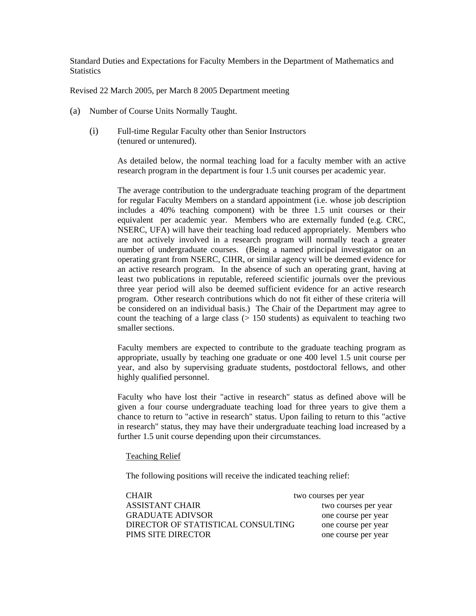Standard Duties and Expectations for Faculty Members in the Department of Mathematics and **Statistics** 

Revised 22 March 2005, per March 8 2005 Department meeting

- (a) Number of Course Units Normally Taught.
	- (i) Full-time Regular Faculty other than Senior Instructors (tenured or untenured).

As detailed below, the normal teaching load for a faculty member with an active research program in the department is four 1.5 unit courses per academic year.

The average contribution to the undergraduate teaching program of the department for regular Faculty Members on a standard appointment (i.e. whose job description includes a 40% teaching component) with be three 1.5 unit courses or their equivalent per academic year. Members who are externally funded (e.g. CRC, NSERC, UFA) will have their teaching load reduced appropriately. Members who are not actively involved in a research program will normally teach a greater number of undergraduate courses. (Being a named principal investigator on an operating grant from NSERC, CIHR, or similar agency will be deemed evidence for an active research program. In the absence of such an operating grant, having at least two publications in reputable, refereed scientific journals over the previous three year period will also be deemed sufficient evidence for an active research program. Other research contributions which do not fit either of these criteria will be considered on an individual basis.) The Chair of the Department may agree to count the teaching of a large class  $(> 150$  students) as equivalent to teaching two smaller sections.

Faculty members are expected to contribute to the graduate teaching program as appropriate, usually by teaching one graduate or one 400 level 1.5 unit course per year, and also by supervising graduate students, postdoctoral fellows, and other highly qualified personnel.

Faculty who have lost their "active in research" status as defined above will be given a four course undergraduate teaching load for three years to give them a chance to return to "active in research" status. Upon failing to return to this "active in research" status, they may have their undergraduate teaching load increased by a further 1.5 unit course depending upon their circumstances.

## Teaching Relief

The following positions will receive the indicated teaching relief:

| <b>CHAIR</b>                       | two courses per year |
|------------------------------------|----------------------|
| ASSISTANT CHAIR                    | two courses per year |
| <b>GRADUATE ADIVSOR</b>            | one course per year  |
| DIRECTOR OF STATISTICAL CONSULTING | one course per year  |
| PIMS SITE DIRECTOR                 | one course per year  |